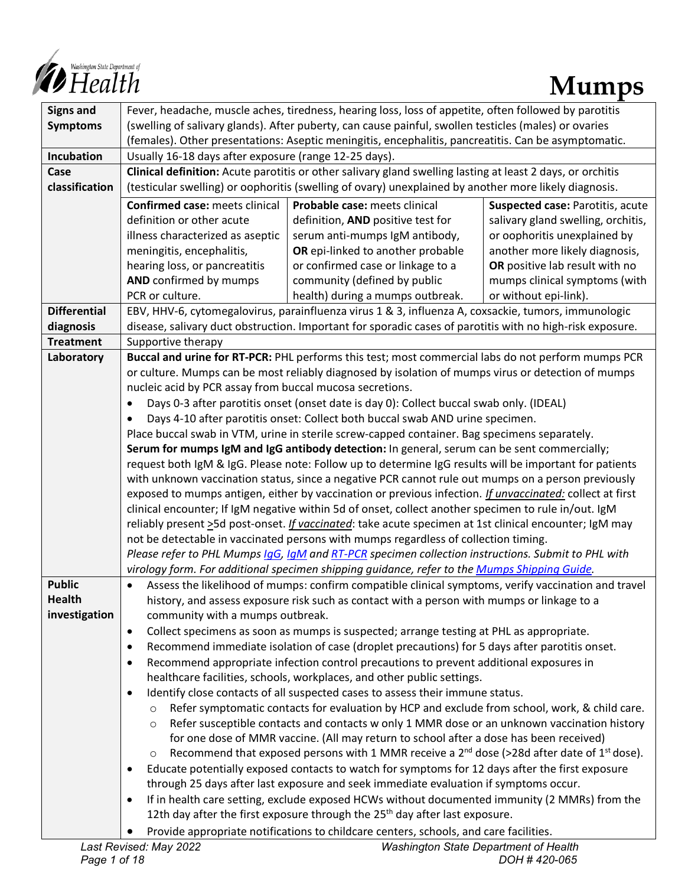

| <b>Signs and</b>               | Fever, headache, muscle aches, tiredness, hearing loss, loss of appetite, often followed by parotitis                                    |                                                                                             |                                    |  |
|--------------------------------|------------------------------------------------------------------------------------------------------------------------------------------|---------------------------------------------------------------------------------------------|------------------------------------|--|
| <b>Symptoms</b>                | (swelling of salivary glands). After puberty, can cause painful, swollen testicles (males) or ovaries                                    |                                                                                             |                                    |  |
|                                | (females). Other presentations: Aseptic meningitis, encephalitis, pancreatitis. Can be asymptomatic.                                     |                                                                                             |                                    |  |
| Incubation                     | Usually 16-18 days after exposure (range 12-25 days).                                                                                    |                                                                                             |                                    |  |
| Case                           | Clinical definition: Acute parotitis or other salivary gland swelling lasting at least 2 days, or orchitis                               |                                                                                             |                                    |  |
| classification                 | (testicular swelling) or oophoritis (swelling of ovary) unexplained by another more likely diagnosis.                                    |                                                                                             |                                    |  |
|                                | <b>Confirmed case: meets clinical</b>                                                                                                    | Probable case: meets clinical                                                               | Suspected case: Parotitis, acute   |  |
|                                | definition or other acute                                                                                                                | definition, AND positive test for                                                           | salivary gland swelling, orchitis, |  |
|                                | illness characterized as aseptic                                                                                                         | serum anti-mumps IgM antibody,                                                              | or oophoritis unexplained by       |  |
|                                | meningitis, encephalitis,                                                                                                                | OR epi-linked to another probable                                                           | another more likely diagnosis,     |  |
|                                | hearing loss, or pancreatitis                                                                                                            | or confirmed case or linkage to a                                                           | OR positive lab result with no     |  |
|                                | AND confirmed by mumps                                                                                                                   | community (defined by public                                                                | mumps clinical symptoms (with      |  |
|                                | PCR or culture.                                                                                                                          | health) during a mumps outbreak.                                                            | or without epi-link).              |  |
| <b>Differential</b>            | EBV, HHV-6, cytomegalovirus, parainfluenza virus 1 & 3, influenza A, coxsackie, tumors, immunologic                                      |                                                                                             |                                    |  |
| diagnosis                      | disease, salivary duct obstruction. Important for sporadic cases of parotitis with no high-risk exposure.                                |                                                                                             |                                    |  |
| <b>Treatment</b>               | Supportive therapy                                                                                                                       |                                                                                             |                                    |  |
| Laboratory                     | Buccal and urine for RT-PCR: PHL performs this test; most commercial labs do not perform mumps PCR                                       |                                                                                             |                                    |  |
|                                | or culture. Mumps can be most reliably diagnosed by isolation of mumps virus or detection of mumps                                       |                                                                                             |                                    |  |
|                                | nucleic acid by PCR assay from buccal mucosa secretions.                                                                                 |                                                                                             |                                    |  |
|                                | Days 0-3 after parotitis onset (onset date is day 0): Collect buccal swab only. (IDEAL)                                                  |                                                                                             |                                    |  |
|                                | Days 4-10 after parotitis onset: Collect both buccal swab AND urine specimen.                                                            |                                                                                             |                                    |  |
|                                | Place buccal swab in VTM, urine in sterile screw-capped container. Bag specimens separately.                                             |                                                                                             |                                    |  |
|                                | Serum for mumps IgM and IgG antibody detection: In general, serum can be sent commercially;                                              |                                                                                             |                                    |  |
|                                | request both IgM & IgG. Please note: Follow up to determine IgG results will be important for patients                                   |                                                                                             |                                    |  |
|                                | with unknown vaccination status, since a negative PCR cannot rule out mumps on a person previously                                       |                                                                                             |                                    |  |
|                                | exposed to mumps antigen, either by vaccination or previous infection. If unvaccinated: collect at first                                 |                                                                                             |                                    |  |
|                                | clinical encounter; If IgM negative within 5d of onset, collect another specimen to rule in/out. IgM                                     |                                                                                             |                                    |  |
|                                | reliably present >5d post-onset. <i>If vaccinated</i> : take acute specimen at 1st clinical encounter; IgM may                           |                                                                                             |                                    |  |
|                                | not be detectable in vaccinated persons with mumps regardless of collection timing.                                                      |                                                                                             |                                    |  |
|                                | Please refer to PHL Mumps laG, laM and RT-PCR specimen collection instructions. Submit to PHL with                                       |                                                                                             |                                    |  |
|                                | virology form. For additional specimen shipping guidance, refer to the Mumps Shipping Guide.                                             |                                                                                             |                                    |  |
| <b>Public</b>                  | Assess the likelihood of mumps: confirm compatible clinical symptoms, verify vaccination and travel                                      |                                                                                             |                                    |  |
| <b>Health</b><br>investigation | history, and assess exposure risk such as contact with a person with mumps or linkage to a                                               |                                                                                             |                                    |  |
|                                | community with a mumps outbreak.<br>Collect specimens as soon as mumps is suspected; arrange testing at PHL as appropriate.<br>$\bullet$ |                                                                                             |                                    |  |
|                                | Recommend immediate isolation of case (droplet precautions) for 5 days after parotitis onset.<br>$\bullet$                               |                                                                                             |                                    |  |
|                                | Recommend appropriate infection control precautions to prevent additional exposures in<br>$\bullet$                                      |                                                                                             |                                    |  |
|                                | healthcare facilities, schools, workplaces, and other public settings.                                                                   |                                                                                             |                                    |  |
|                                | Identify close contacts of all suspected cases to assess their immune status.                                                            |                                                                                             |                                    |  |
|                                | Refer symptomatic contacts for evaluation by HCP and exclude from school, work, & child care.<br>$\circ$                                 |                                                                                             |                                    |  |
|                                | $\circ$                                                                                                                                  | Refer susceptible contacts and contacts w only 1 MMR dose or an unknown vaccination history |                                    |  |
|                                |                                                                                                                                          | for one dose of MMR vaccine. (All may return to school after a dose has been received)      |                                    |  |
|                                | Recommend that exposed persons with 1 MMR receive a $2^{nd}$ dose (>28d after date of $1^{st}$ dose).<br>$\circ$                         |                                                                                             |                                    |  |
|                                | Educate potentially exposed contacts to watch for symptoms for 12 days after the first exposure<br>$\bullet$                             |                                                                                             |                                    |  |
|                                | through 25 days after last exposure and seek immediate evaluation if symptoms occur.                                                     |                                                                                             |                                    |  |
|                                | If in health care setting, exclude exposed HCWs without documented immunity (2 MMRs) from the<br>$\bullet$                               |                                                                                             |                                    |  |
|                                | 12th day after the first exposure through the $25th$ day after last exposure.                                                            |                                                                                             |                                    |  |
|                                |                                                                                                                                          | Provide appropriate notifications to childcare centers, schools, and care facilities.       |                                    |  |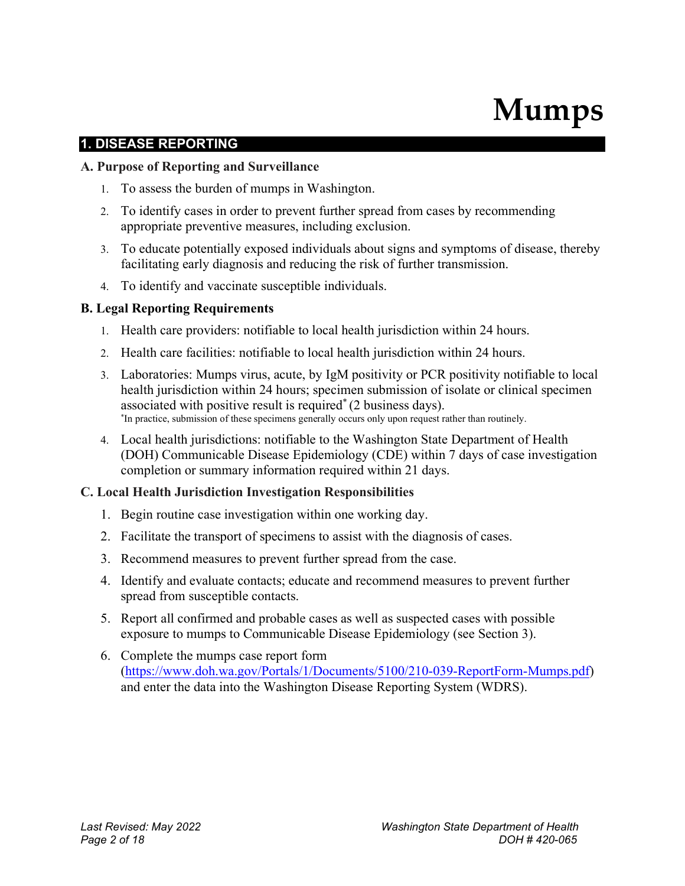# **Mumps**

# **1. DISEASE REPORTING**

#### **A. Purpose of Reporting and Surveillance**

- 1. To assess the burden of mumps in Washington.
- 2. To identify cases in order to prevent further spread from cases by recommending appropriate preventive measures, including exclusion.
- 3. To educate potentially exposed individuals about signs and symptoms of disease, thereby facilitating early diagnosis and reducing the risk of further transmission.
- 4. To identify and vaccinate susceptible individuals.

## **B. Legal Reporting Requirements**

- 1. Health care providers: notifiable to local health jurisdiction within 24 hours.
- 2. Health care facilities: notifiable to local health jurisdiction within 24 hours.
- 3. Laboratories: Mumps virus, acute, by IgM positivity or PCR positivity notifiable to local health jurisdiction within 24 hours; specimen submission of isolate or clinical specimen associated with positive result is required\* (2 business days). \*In practice, submission of these specimens generally occurs only upon request rather than routinely.
- 4. Local health jurisdictions: notifiable to the Washington State Department of Health (DOH) Communicable Disease Epidemiology (CDE) within 7 days of case investigation completion or summary information required within 21 days.

## **C. Local Health Jurisdiction Investigation Responsibilities**

- 1. Begin routine case investigation within one working day.
- 2. Facilitate the transport of specimens to assist with the diagnosis of cases.
- 3. Recommend measures to prevent further spread from the case.
- 4. Identify and evaluate contacts; educate and recommend measures to prevent further spread from susceptible contacts.
- 5. Report all confirmed and probable cases as well as suspected cases with possible exposure to mumps to Communicable Disease Epidemiology (see Section 3).
- 6. Complete the mumps case report form [\(https://www.doh.wa.gov/Portals/1/Documents/5100/210-039-ReportForm-Mumps.pdf\)](https://www.doh.wa.gov/Portals/1/Documents/5100/210-039-ReportForm-Mumps.pdf) and enter the data into the Washington Disease Reporting System (WDRS).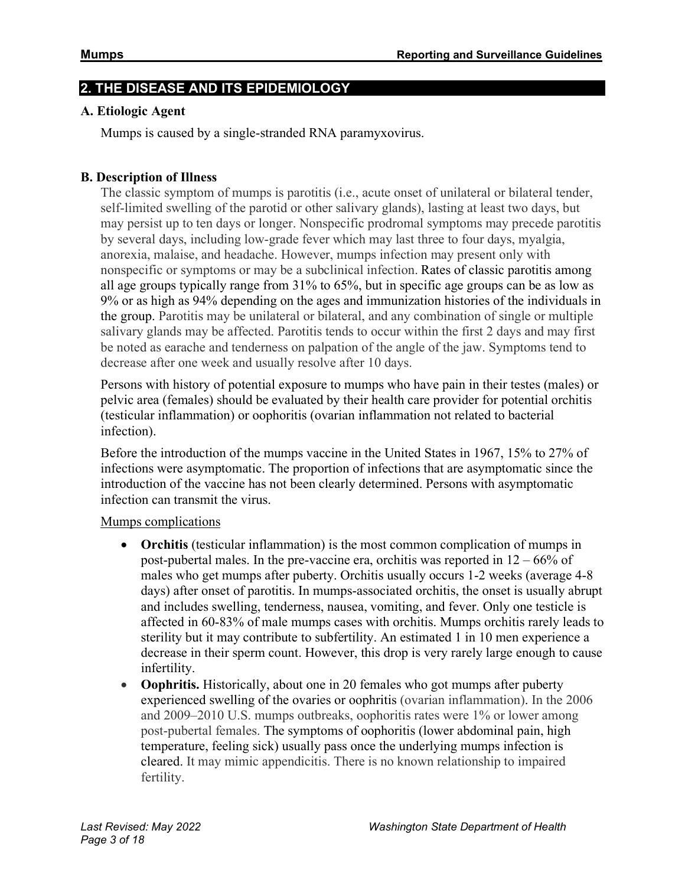# **2. THE DISEASE AND ITS EPIDEMIOLOGY**

#### **A. Etiologic Agent**

Mumps is caused by a single-stranded RNA paramyxovirus.

#### **B. Description of Illness**

The classic symptom of mumps is parotitis (i.e., acute onset of unilateral or bilateral tender, self-limited swelling of the parotid or other salivary glands), lasting at least two days, but may persist up to ten days or longer. Nonspecific prodromal symptoms may precede parotitis by several days, including low-grade fever which may last three to four days, myalgia, anorexia, malaise, and headache. However, mumps infection may present only with nonspecific or symptoms or may be a subclinical infection. Rates of classic parotitis among all age groups typically range from 31% to 65%, but in specific age groups can be as low as 9% or as high as 94% depending on the ages and immunization histories of the individuals in the group. Parotitis may be unilateral or bilateral, and any combination of single or multiple salivary glands may be affected. Parotitis tends to occur within the first 2 days and may first be noted as earache and tenderness on palpation of the angle of the jaw. Symptoms tend to decrease after one week and usually resolve after 10 days.

Persons with history of potential exposure to mumps who have pain in their testes (males) or pelvic area (females) should be evaluated by their health care provider for potential orchitis (testicular inflammation) or oophoritis (ovarian inflammation not related to bacterial infection).

Before the introduction of the mumps vaccine in the United States in 1967, 15% to 27% of infections were asymptomatic. The proportion of infections that are asymptomatic since the introduction of the vaccine has not been clearly determined. Persons with asymptomatic infection can transmit the virus.

#### Mumps complications

- **Orchitis** (testicular inflammation) is the most common complication of mumps in post-pubertal males. In the pre-vaccine era, orchitis was reported in  $12 - 66\%$  of males who get mumps after puberty. Orchitis usually occurs 1-2 weeks (average 4-8 days) after onset of parotitis. In mumps-associated orchitis, the onset is usually abrupt and includes swelling, tenderness, nausea, vomiting, and fever. Only one testicle is affected in 60-83% of male mumps cases with orchitis. Mumps orchitis rarely leads to sterility but it may contribute to subfertility. An estimated 1 in 10 men experience a decrease in their sperm count. However, this drop is very rarely large enough to cause infertility.
- **Oophritis.** Historically, about one in 20 females who got mumps after puberty experienced swelling of the ovaries or oophritis (ovarian inflammation). In the 2006 and 2009–2010 U.S. mumps outbreaks, oophoritis rates were 1% or lower among post-pubertal females. The symptoms of oophoritis (lower abdominal pain, high temperature, feeling sick) usually pass once the underlying mumps infection is cleared. It may mimic appendicitis. There is no known relationship to impaired fertility.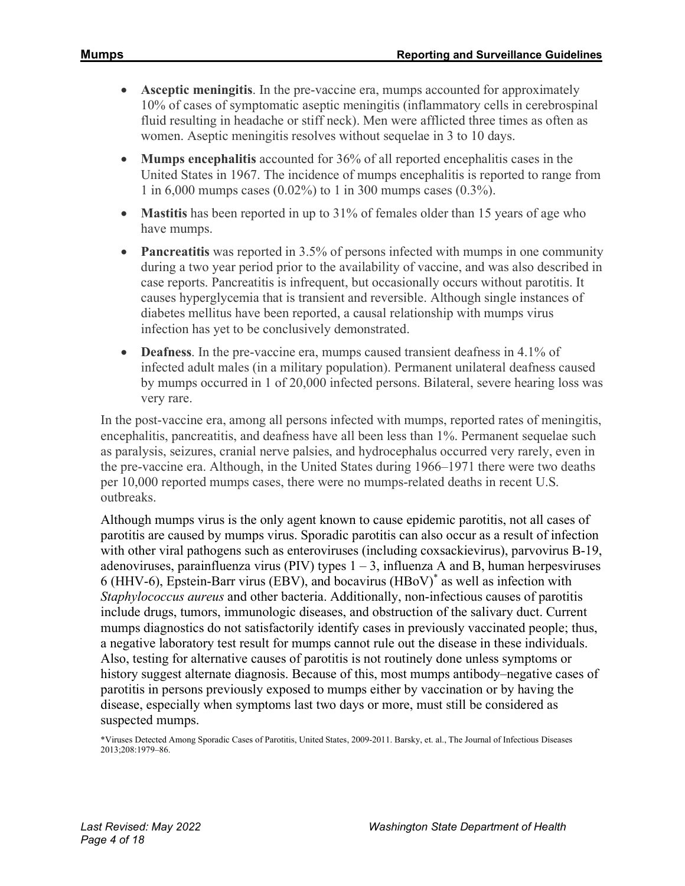- **Asceptic meningitis**. In the pre-vaccine era, mumps accounted for approximately 10% of cases of symptomatic aseptic meningitis (inflammatory cells in cerebrospinal fluid resulting in headache or stiff neck). Men were afflicted three times as often as women. Aseptic meningitis resolves without sequelae in 3 to 10 days.
- **Mumps encephalitis** accounted for 36% of all reported encephalitis cases in the United States in 1967. The incidence of mumps encephalitis is reported to range from 1 in 6,000 mumps cases (0.02%) to 1 in 300 mumps cases (0.3%).
- **Mastitis** has been reported in up to 31% of females older than 15 years of age who have mumps.
- **Pancreatitis** was reported in 3.5% of persons infected with mumps in one community during a two year period prior to the availability of vaccine, and was also described in case reports. Pancreatitis is infrequent, but occasionally occurs without parotitis. It causes hyperglycemia that is transient and reversible. Although single instances of diabetes mellitus have been reported, a causal relationship with mumps virus infection has yet to be conclusively demonstrated.
- **Deafness**. In the pre-vaccine era, mumps caused transient deafness in 4.1% of infected adult males (in a military population). Permanent unilateral deafness caused by mumps occurred in 1 of 20,000 infected persons. Bilateral, severe hearing loss was very rare.

In the post-vaccine era, among all persons infected with mumps, reported rates of meningitis, encephalitis, pancreatitis, and deafness have all been less than 1%. Permanent sequelae such as paralysis, seizures, cranial nerve palsies, and hydrocephalus occurred very rarely, even in the pre-vaccine era. Although, in the United States during 1966–1971 there were two deaths per 10,000 reported mumps cases, there were no mumps-related deaths in recent U.S. outbreaks.

Although mumps virus is the only agent known to cause epidemic parotitis, not all cases of parotitis are caused by mumps virus. Sporadic parotitis can also occur as a result of infection with other viral pathogens such as enteroviruses (including coxsackievirus), parvovirus B-19, adenoviruses, parainfluenza virus (PIV) types  $1 - 3$ , influenza A and B, human herpesviruses 6 (HHV-6), Epstein-Barr virus (EBV), and bocavirus (HBoV)\* as well as infection with *Staphylococcus aureus* and other bacteria. Additionally, non-infectious causes of parotitis include drugs, tumors, immunologic diseases, and obstruction of the salivary duct. Current mumps diagnostics do not satisfactorily identify cases in previously vaccinated people; thus, a negative laboratory test result for mumps cannot rule out the disease in these individuals. Also, testing for alternative causes of parotitis is not routinely done unless symptoms or history suggest alternate diagnosis. Because of this, most mumps antibody–negative cases of parotitis in persons previously exposed to mumps either by vaccination or by having the disease, especially when symptoms last two days or more, must still be considered as suspected mumps.

<sup>\*</sup>Viruses Detected Among Sporadic Cases of Parotitis, United States, 2009-2011. Barsky, et. al., The Journal of Infectious Diseases 2013;208:1979–86.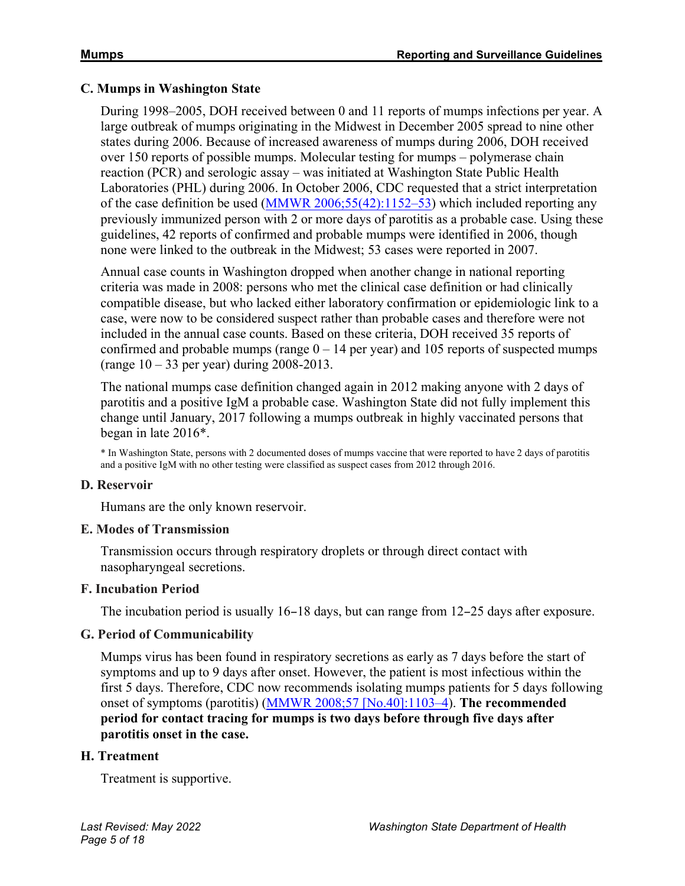#### **C. Mumps in Washington State**

During 1998–2005, DOH received between 0 and 11 reports of mumps infections per year. A large outbreak of mumps originating in the Midwest in December 2005 spread to nine other states during 2006. Because of increased awareness of mumps during 2006, DOH received over 150 reports of possible mumps. Molecular testing for mumps – polymerase chain reaction (PCR) and serologic assay – was initiated at Washington State Public Health Laboratories (PHL) during 2006. In October 2006, CDC requested that a strict interpretation of the case definition be used [\(MMWR 2006;55\(42\):1152–53\)](https://www.cdc.gov/mmwr/preview/mmwrhtml/mm5542a3.htm) which included reporting any previously immunized person with 2 or more days of parotitis as a probable case. Using these guidelines, 42 reports of confirmed and probable mumps were identified in 2006, though none were linked to the outbreak in the Midwest; 53 cases were reported in 2007.

Annual case counts in Washington dropped when another change in national reporting criteria was made in 2008: persons who met the clinical case definition or had clinically compatible disease, but who lacked either laboratory confirmation or epidemiologic link to a case, were now to be considered suspect rather than probable cases and therefore were not included in the annual case counts. Based on these criteria, DOH received 35 reports of confirmed and probable mumps (range  $0 - 14$  per year) and 105 reports of suspected mumps (range  $10 - 33$  per year) during 2008-2013.

The national mumps case definition changed again in 2012 making anyone with 2 days of parotitis and a positive IgM a probable case. Washington State did not fully implement this change until January, 2017 following a mumps outbreak in highly vaccinated persons that began in late 2016\*.

\* In Washington State, persons with 2 documented doses of mumps vaccine that were reported to have 2 days of parotitis and a positive IgM with no other testing were classified as suspect cases from 2012 through 2016.

#### **D. Reservoir**

Humans are the only known reservoir.

#### **E. Modes of Transmission**

Transmission occurs through respiratory droplets or through direct contact with nasopharyngeal secretions.

#### **F. Incubation Period**

The incubation period is usually 16–18 days, but can range from 12–25 days after exposure.

#### **G. Period of Communicability**

Mumps virus has been found in respiratory secretions as early as 7 days before the start of symptoms and up to 9 days after onset. However, the patient is most infectious within the first 5 days. Therefore, CDC now recommends isolating mumps patients for 5 days following onset of symptoms (parotitis) [\(MMWR 2008;57 \[No.40\]:1103–4\)](https://www.cdc.gov/mmwr/PDF/wk/mm5740.pdf). **The recommended period for contact tracing for mumps is two days before through five days after parotitis onset in the case.**

#### **H. Treatment**

Treatment is supportive.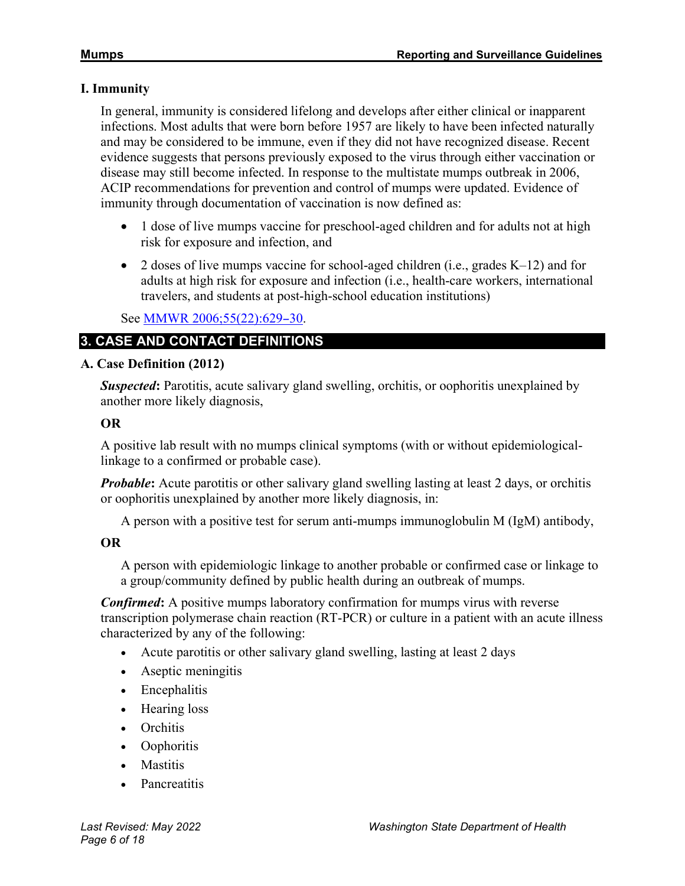## **I. Immunity**

In general, immunity is considered lifelong and develops after either clinical or inapparent infections. Most adults that were born before 1957 are likely to have been infected naturally and may be considered to be immune, even if they did not have recognized disease. Recent evidence suggests that persons previously exposed to the virus through either vaccination or disease may still become infected. In response to the multistate mumps outbreak in 2006, ACIP recommendations for prevention and control of mumps were updated. Evidence of immunity through documentation of vaccination is now defined as:

- 1 dose of live mumps vaccine for preschool-aged children and for adults not at high risk for exposure and infection, and
- 2 doses of live mumps vaccine for school-aged children (i.e., grades K–12) and for adults at high risk for exposure and infection (i.e., health-care workers, international travelers, and students at post-high-school education institutions)

# See **MMWR** 2006;55(22):629-30.

# **3. CASE AND CONTACT DEFINITIONS**

# **A. Case Definition (2012)**

*Suspected***:** Parotitis, acute salivary gland swelling, orchitis, or oophoritis unexplained by another more likely diagnosis,

## **OR**

A positive lab result with no mumps clinical symptoms (with or without epidemiologicallinkage to a confirmed or probable case).

*Probable*: Acute parotitis or other salivary gland swelling lasting at least 2 days, or orchitis or oophoritis unexplained by another more likely diagnosis, in:

A person with a positive test for serum anti-mumps immunoglobulin M (IgM) antibody,

## **OR**

A person with epidemiologic linkage to another probable or confirmed case or linkage to a group/community defined by public health during an outbreak of mumps.

*Confirmed***:** A positive mumps laboratory confirmation for mumps virus with reverse transcription polymerase chain reaction (RT-PCR) or culture in a patient with an acute illness characterized by any of the following:

- Acute parotitis or other salivary gland swelling, lasting at least 2 days
- Aseptic meningitis
- Encephalitis
- Hearing loss
- Orchitis
- Oophoritis
- Mastitis
- Pancreatitis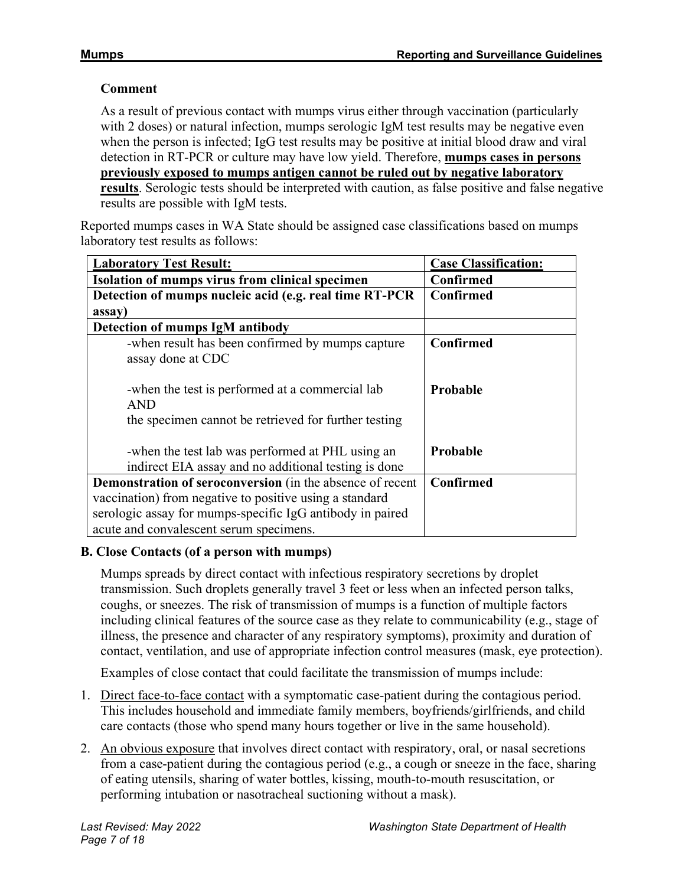# **Comment**

As a result of previous contact with mumps virus either through vaccination (particularly with 2 doses) or natural infection, mumps serologic IgM test results may be negative even when the person is infected; IgG test results may be positive at initial blood draw and viral detection in RT-PCR or culture may have low yield. Therefore, **mumps cases in persons previously exposed to mumps antigen cannot be ruled out by negative laboratory results**. Serologic tests should be interpreted with caution, as false positive and false negative results are possible with IgM tests.

Reported mumps cases in WA State should be assigned case classifications based on mumps laboratory test results as follows:

| <b>Laboratory Test Result:</b>                            | <b>Case Classification:</b> |
|-----------------------------------------------------------|-----------------------------|
| Isolation of mumps virus from clinical specimen           | Confirmed                   |
| Detection of mumps nucleic acid (e.g. real time RT-PCR    | Confirmed                   |
| assay)                                                    |                             |
| Detection of mumps IgM antibody                           |                             |
| -when result has been confirmed by mumps capture          | Confirmed                   |
| assay done at CDC                                         |                             |
|                                                           |                             |
| -when the test is performed at a commercial lab           | <b>Probable</b>             |
| <b>AND</b>                                                |                             |
| the specimen cannot be retrieved for further testing      |                             |
|                                                           |                             |
| -when the test lab was performed at PHL using an          | <b>Probable</b>             |
| indirect EIA assay and no additional testing is done      |                             |
| Demonstration of seroconversion (in the absence of recent | Confirmed                   |
| vaccination) from negative to positive using a standard   |                             |
| serologic assay for mumps-specific IgG antibody in paired |                             |
| acute and convalescent serum specimens.                   |                             |

## **B. Close Contacts (of a person with mumps)**

Mumps spreads by direct contact with infectious respiratory secretions by droplet transmission. Such droplets generally travel 3 feet or less when an infected person talks, coughs, or sneezes. The risk of transmission of mumps is a function of multiple factors including clinical features of the source case as they relate to communicability (e.g., stage of illness, the presence and character of any respiratory symptoms), proximity and duration of contact, ventilation, and use of appropriate infection control measures (mask, eye protection).

Examples of close contact that could facilitate the transmission of mumps include:

- 1. Direct face-to-face contact with a symptomatic case-patient during the contagious period. This includes household and immediate family members, boyfriends/girlfriends, and child care contacts (those who spend many hours together or live in the same household).
- 2. An obvious exposure that involves direct contact with respiratory, oral, or nasal secretions from a case-patient during the contagious period (e.g., a cough or sneeze in the face, sharing of eating utensils, sharing of water bottles, kissing, mouth-to-mouth resuscitation, or performing intubation or nasotracheal suctioning without a mask).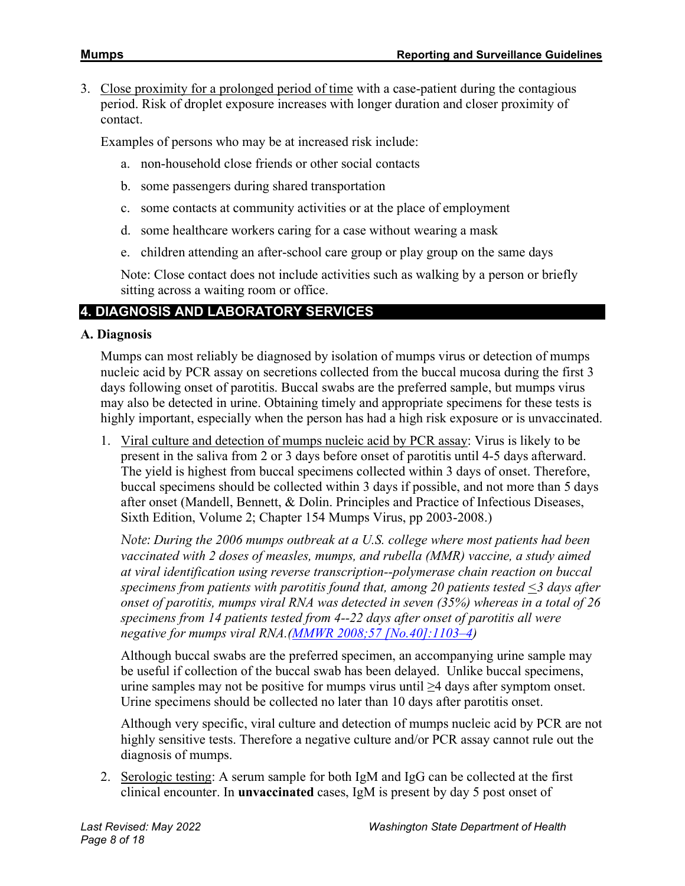3. Close proximity for a prolonged period of time with a case-patient during the contagious period. Risk of droplet exposure increases with longer duration and closer proximity of contact.

Examples of persons who may be at increased risk include:

- a. non-household close friends or other social contacts
- b. some passengers during shared transportation
- c. some contacts at community activities or at the place of employment
- d. some healthcare workers caring for a case without wearing a mask
- e. children attending an after-school care group or play group on the same days

Note: Close contact does not include activities such as walking by a person or briefly sitting across a waiting room or office.

# **4. DIAGNOSIS AND LABORATORY SERVICES**

#### **A. Diagnosis**

Mumps can most reliably be diagnosed by isolation of mumps virus or detection of mumps nucleic acid by PCR assay on secretions collected from the buccal mucosa during the first 3 days following onset of parotitis. Buccal swabs are the preferred sample, but mumps virus may also be detected in urine. Obtaining timely and appropriate specimens for these tests is highly important, especially when the person has had a high risk exposure or is unvaccinated.

1. Viral culture and detection of mumps nucleic acid by PCR assay: Virus is likely to be present in the saliva from 2 or 3 days before onset of parotitis until 4-5 days afterward. The yield is highest from buccal specimens collected within 3 days of onset. Therefore, buccal specimens should be collected within 3 days if possible, and not more than 5 days after onset (Mandell, Bennett, & Dolin. Principles and Practice of Infectious Diseases, Sixth Edition, Volume 2; Chapter 154 Mumps Virus, pp 2003-2008.)

*Note: During the 2006 mumps outbreak at a U.S. college where most patients had been vaccinated with 2 doses of measles, mumps, and rubella (MMR) vaccine, a study aimed at viral identification using reverse transcription--polymerase chain reaction on buccal specimens from patients with parotitis found that, among 20 patients tested <3 days after onset of parotitis, mumps viral RNA was detected in seven (35%) whereas in a total of 26 specimens from 14 patients tested from 4--22 days after onset of parotitis all were negative for mumps viral RNA.[\(MMWR 2008;57 \[No.40\]:1103–4\)](https://www.cdc.gov/mmwr/PDF/wk/mm5740.pdf)*

Although buccal swabs are the preferred specimen, an accompanying urine sample may be useful if collection of the buccal swab has been delayed. Unlike buccal specimens, urine samples may not be positive for mumps virus until  $\geq 4$  days after symptom onset. Urine specimens should be collected no later than 10 days after parotitis onset.

Although very specific, viral culture and detection of mumps nucleic acid by PCR are not highly sensitive tests. Therefore a negative culture and/or PCR assay cannot rule out the diagnosis of mumps.

2. Serologic testing: A serum sample for both IgM and IgG can be collected at the first clinical encounter. In **unvaccinated** cases, IgM is present by day 5 post onset of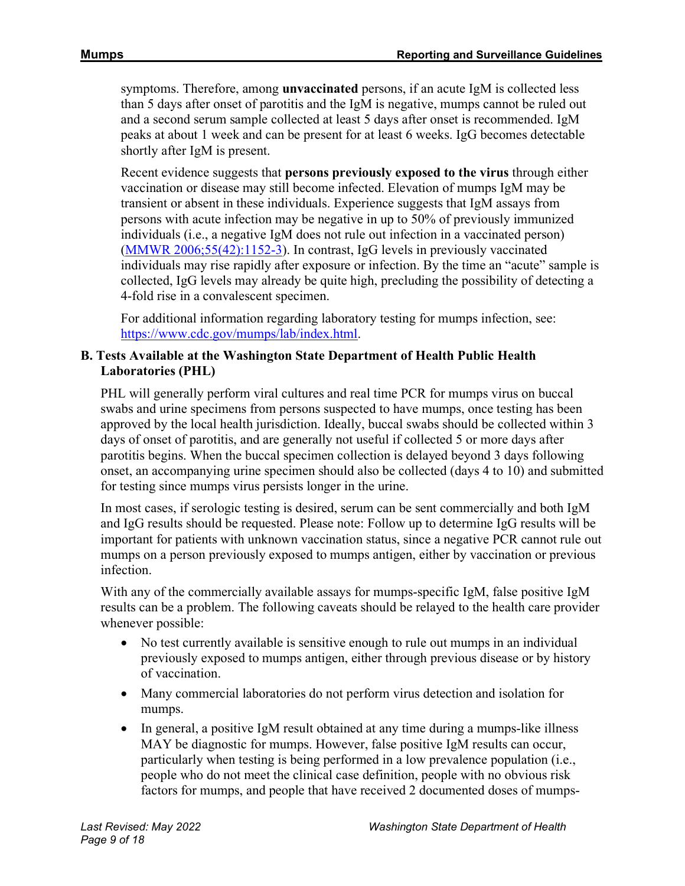symptoms. Therefore, among **unvaccinated** persons, if an acute IgM is collected less than 5 days after onset of parotitis and the IgM is negative, mumps cannot be ruled out and a second serum sample collected at least 5 days after onset is recommended. IgM peaks at about 1 week and can be present for at least 6 weeks. IgG becomes detectable shortly after IgM is present.

Recent evidence suggests that **persons previously exposed to the virus** through either vaccination or disease may still become infected. Elevation of mumps IgM may be transient or absent in these individuals. Experience suggests that IgM assays from persons with acute infection may be negative in up to 50% of previously immunized individuals (i.e., a negative IgM does not rule out infection in a vaccinated person) [\(MMWR 2006;55\(42\):1152-3\)](https://www.cdc.gov/mmwr/preview/mmwrhtml/mm5542a3.htm). In contrast, IgG levels in previously vaccinated individuals may rise rapidly after exposure or infection. By the time an "acute" sample is collected, IgG levels may already be quite high, precluding the possibility of detecting a 4-fold rise in a convalescent specimen.

For additional information regarding laboratory testing for mumps infection, see: [https://www.cdc.gov/mumps/lab/index.html.](https://www.cdc.gov/mumps/lab/index.html)

## **B. Tests Available at the Washington State Department of Health Public Health Laboratories (PHL)**

PHL will generally perform viral cultures and real time PCR for mumps virus on buccal swabs and urine specimens from persons suspected to have mumps, once testing has been approved by the local health jurisdiction. Ideally, buccal swabs should be collected within 3 days of onset of parotitis, and are generally not useful if collected 5 or more days after parotitis begins. When the buccal specimen collection is delayed beyond 3 days following onset, an accompanying urine specimen should also be collected (days 4 to 10) and submitted for testing since mumps virus persists longer in the urine.

In most cases, if serologic testing is desired, serum can be sent commercially and both IgM and IgG results should be requested. Please note: Follow up to determine IgG results will be important for patients with unknown vaccination status, since a negative PCR cannot rule out mumps on a person previously exposed to mumps antigen, either by vaccination or previous infection.

With any of the commercially available assays for mumps-specific IgM, false positive IgM results can be a problem. The following caveats should be relayed to the health care provider whenever possible:

- No test currently available is sensitive enough to rule out mumps in an individual previously exposed to mumps antigen, either through previous disease or by history of vaccination.
- Many commercial laboratories do not perform virus detection and isolation for mumps.
- In general, a positive IgM result obtained at any time during a mumps-like illness MAY be diagnostic for mumps. However, false positive IgM results can occur, particularly when testing is being performed in a low prevalence population (i.e., people who do not meet the clinical case definition, people with no obvious risk factors for mumps, and people that have received 2 documented doses of mumps-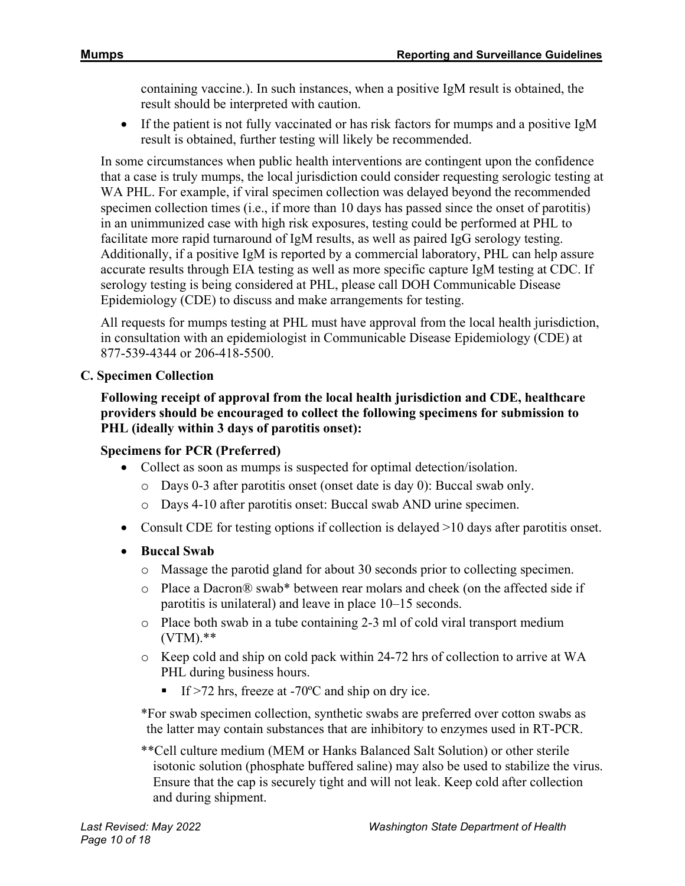containing vaccine.). In such instances, when a positive IgM result is obtained, the result should be interpreted with caution.

• If the patient is not fully vaccinated or has risk factors for mumps and a positive IgM result is obtained, further testing will likely be recommended.

In some circumstances when public health interventions are contingent upon the confidence that a case is truly mumps, the local jurisdiction could consider requesting serologic testing at WA PHL. For example, if viral specimen collection was delayed beyond the recommended specimen collection times (i.e., if more than 10 days has passed since the onset of parotitis) in an unimmunized case with high risk exposures, testing could be performed at PHL to facilitate more rapid turnaround of IgM results, as well as paired IgG serology testing. Additionally, if a positive IgM is reported by a commercial laboratory, PHL can help assure accurate results through EIA testing as well as more specific capture IgM testing at CDC. If serology testing is being considered at PHL, please call DOH Communicable Disease Epidemiology (CDE) to discuss and make arrangements for testing.

All requests for mumps testing at PHL must have approval from the local health jurisdiction, in consultation with an epidemiologist in Communicable Disease Epidemiology (CDE) at 877-539-4344 or 206-418-5500.

# **C. Specimen Collection**

## **Following receipt of approval from the local health jurisdiction and CDE, healthcare providers should be encouraged to collect the following specimens for submission to PHL (ideally within 3 days of parotitis onset):**

## **Specimens for PCR (Preferred)**

- Collect as soon as mumps is suspected for optimal detection/isolation.
	- o Days 0-3 after parotitis onset (onset date is day 0): Buccal swab only.
	- o Days 4-10 after parotitis onset: Buccal swab AND urine specimen.
- Consult CDE for testing options if collection is delayed >10 days after parotitis onset.
- **Buccal Swab**
	- o Massage the parotid gland for about 30 seconds prior to collecting specimen.
	- o Place a Dacron® swab\* between rear molars and cheek (on the affected side if parotitis is unilateral) and leave in place 10–15 seconds.
	- $\circ$  Place both swab in a tube containing 2-3 ml of cold viral transport medium (VTM).\*\*
	- o Keep cold and ship on cold pack within 24-72 hrs of collection to arrive at WA PHL during business hours.
		- If  $>$ 72 hrs, freeze at -70 $^{\circ}$ C and ship on dry ice.

\*For swab specimen collection, synthetic swabs are preferred over cotton swabs as the latter may contain substances that are inhibitory to enzymes used in RT-PCR.

\*\*Cell culture medium (MEM or Hanks Balanced Salt Solution) or other sterile isotonic solution (phosphate buffered saline) may also be used to stabilize the virus. Ensure that the cap is securely tight and will not leak. Keep cold after collection and during shipment.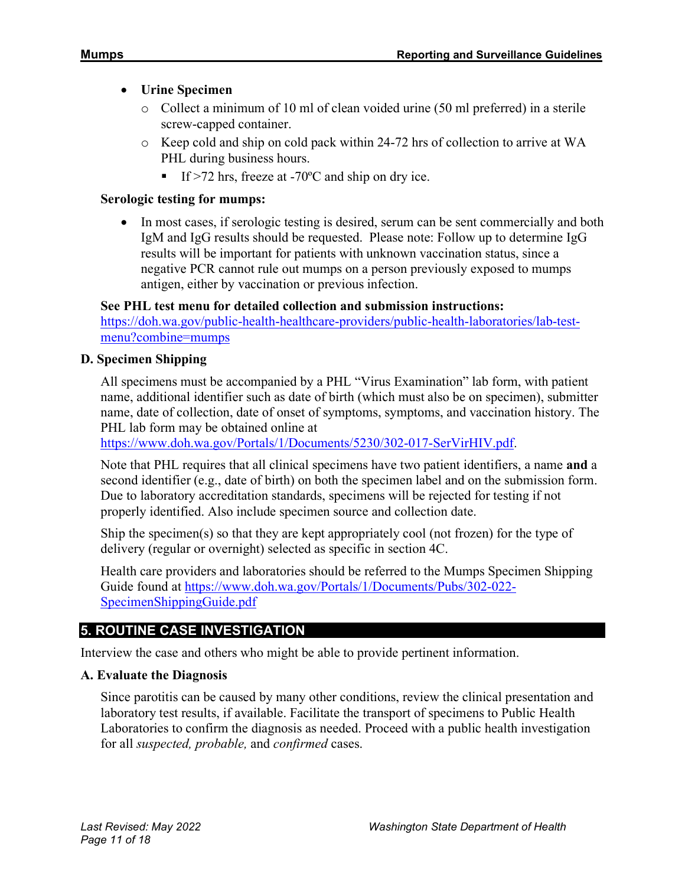# • **Urine Specimen**

- o Collect a minimum of 10 ml of clean voided urine (50 ml preferred) in a sterile screw-capped container.
- o Keep cold and ship on cold pack within 24-72 hrs of collection to arrive at WA PHL during business hours.
	- If  $>$ 72 hrs, freeze at -70 $^{\circ}$ C and ship on dry ice.

## **Serologic testing for mumps:**

• In most cases, if serologic testing is desired, serum can be sent commercially and both IgM and IgG results should be requested. Please note: Follow up to determine IgG results will be important for patients with unknown vaccination status, since a negative PCR cannot rule out mumps on a person previously exposed to mumps antigen, either by vaccination or previous infection.

# **See PHL test menu for detailed collection and submission instructions:**

[https://doh.wa.gov/public-health-healthcare-providers/public-health-laboratories/lab-test](https://doh.wa.gov/public-health-healthcare-providers/public-health-laboratories/lab-test-menu?combine=mumps)[menu?combine=mumps](https://doh.wa.gov/public-health-healthcare-providers/public-health-laboratories/lab-test-menu?combine=mumps)

## **D. Specimen Shipping**

All specimens must be accompanied by a PHL "Virus Examination" lab form, with patient name, additional identifier such as date of birth (which must also be on specimen), submitter name, date of collection, date of onset of symptoms, symptoms, and vaccination history. The PHL lab form may be obtained online at

[https://www.doh.wa.gov/Portals/1/Documents/5230/302-017-SerVirHIV.pdf.](https://www.doh.wa.gov/Portals/1/Documents/5230/302-017-SerVirHIV.pdf)

Note that PHL requires that all clinical specimens have two patient identifiers, a name **and** a second identifier (e.g., date of birth) on both the specimen label and on the submission form. Due to laboratory accreditation standards, specimens will be rejected for testing if not properly identified. Also include specimen source and collection date.

Ship the specimen(s) so that they are kept appropriately cool (not frozen) for the type of delivery (regular or overnight) selected as specific in section 4C.

Health care providers and laboratories should be referred to the Mumps Specimen Shipping Guide found at [https://www.doh.wa.gov/Portals/1/Documents/Pubs/302-022-](https://www.doh.wa.gov/Portals/1/Documents/Pubs/302-022-SpecimenShippingGuide.pdf) [SpecimenShippingGuide.pdf](https://www.doh.wa.gov/Portals/1/Documents/Pubs/302-022-SpecimenShippingGuide.pdf)

# **5. ROUTINE CASE INVESTIGATION**

Interview the case and others who might be able to provide pertinent information.

## **A. Evaluate the Diagnosis**

Since parotitis can be caused by many other conditions, review the clinical presentation and laboratory test results, if available. Facilitate the transport of specimens to Public Health Laboratories to confirm the diagnosis as needed. Proceed with a public health investigation for all *suspected, probable,* and *confirmed* cases.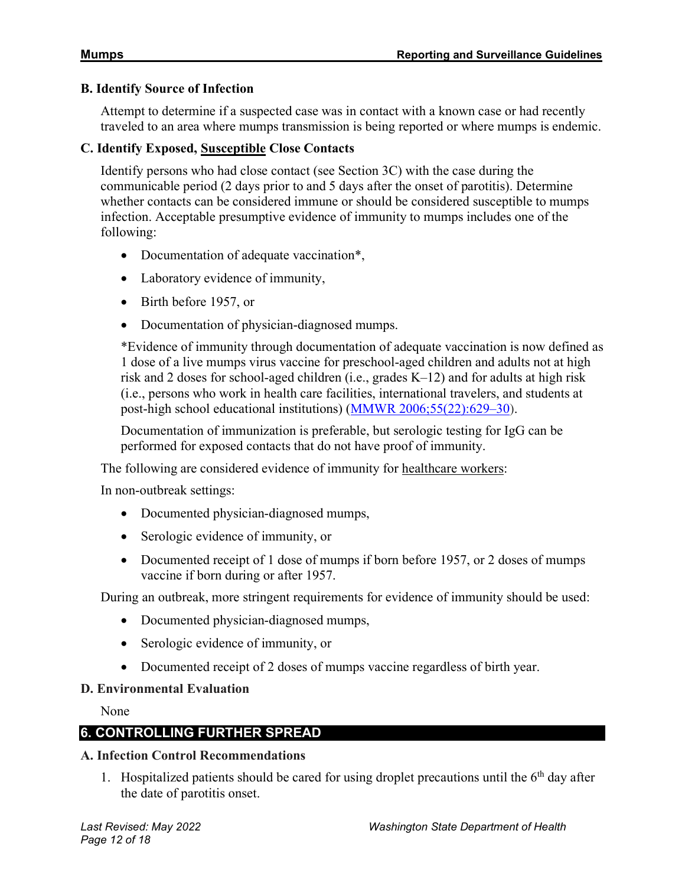#### **B. Identify Source of Infection**

Attempt to determine if a suspected case was in contact with a known case or had recently traveled to an area where mumps transmission is being reported or where mumps is endemic.

#### **C. Identify Exposed, Susceptible Close Contacts**

Identify persons who had close contact (see Section 3C) with the case during the communicable period (2 days prior to and 5 days after the onset of parotitis). Determine whether contacts can be considered immune or should be considered susceptible to mumps infection. Acceptable presumptive evidence of immunity to mumps includes one of the following:

- Documentation of adequate vaccination<sup>\*</sup>,
- Laboratory evidence of immunity,
- Birth before 1957, or
- Documentation of physician-diagnosed mumps.

\*Evidence of immunity through documentation of adequate vaccination is now defined as 1 dose of a live mumps virus vaccine for preschool-aged children and adults not at high risk and 2 doses for school-aged children (i.e., grades K–12) and for adults at high risk (i.e., persons who work in health care facilities, international travelers, and students at post-high school educational institutions) [\(MMWR 2006;55\(22\):629–30\)](https://www.cdc.gov/mmwr/pdf/wk/mm5522.pdf).

Documentation of immunization is preferable, but serologic testing for IgG can be performed for exposed contacts that do not have proof of immunity.

The following are considered evidence of immunity for healthcare workers:

In non-outbreak settings:

- Documented physician-diagnosed mumps,
- Serologic evidence of immunity, or
- Documented receipt of 1 dose of mumps if born before 1957, or 2 doses of mumps vaccine if born during or after 1957.

During an outbreak, more stringent requirements for evidence of immunity should be used:

- Documented physician-diagnosed mumps,
- Serologic evidence of immunity, or
- Documented receipt of 2 doses of mumps vaccine regardless of birth year.

#### **D. Environmental Evaluation**

None

# **6. CONTROLLING FURTHER SPREAD**

#### **A. Infection Control Recommendations**

1. Hospitalized patients should be cared for using droplet precautions until the  $6<sup>th</sup>$  day after the date of parotitis onset.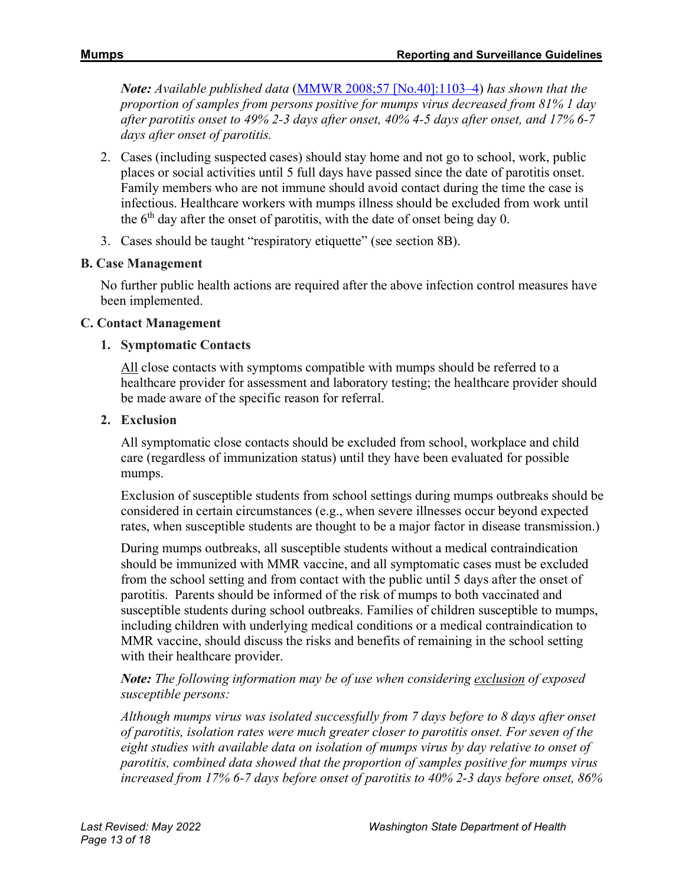*Note: Available published data* [\(MMWR 2008;57 \[No.40\]:1103–4\)](https://www.cdc.gov/mmwr/PDF/wk/mm5740.pdf) *has shown that the proportion of samples from persons positive for mumps virus decreased from 81% 1 day after parotitis onset to 49% 2-3 days after onset, 40% 4-5 days after onset, and 17% 6-7 days after onset of parotitis.*

- 2. Cases (including suspected cases) should stay home and not go to school, work, public places or social activities until 5 full days have passed since the date of parotitis onset. Family members who are not immune should avoid contact during the time the case is infectious. Healthcare workers with mumps illness should be excluded from work until the  $6<sup>th</sup>$  day after the onset of parotitis, with the date of onset being day 0.
- 3. Cases should be taught "respiratory etiquette" (see section 8B).

#### **B. Case Management**

No further public health actions are required after the above infection control measures have been implemented.

#### **C. Contact Management**

#### **1. Symptomatic Contacts**

All close contacts with symptoms compatible with mumps should be referred to a healthcare provider for assessment and laboratory testing; the healthcare provider should be made aware of the specific reason for referral.

#### **2. Exclusion**

All symptomatic close contacts should be excluded from school, workplace and child care (regardless of immunization status) until they have been evaluated for possible mumps.

Exclusion of susceptible students from school settings during mumps outbreaks should be considered in certain circumstances (e.g., when severe illnesses occur beyond expected rates, when susceptible students are thought to be a major factor in disease transmission.)

During mumps outbreaks, all susceptible students without a medical contraindication should be immunized with MMR vaccine, and all symptomatic cases must be excluded from the school setting and from contact with the public until 5 days after the onset of parotitis. Parents should be informed of the risk of mumps to both vaccinated and susceptible students during school outbreaks. Families of children susceptible to mumps, including children with underlying medical conditions or a medical contraindication to MMR vaccine, should discuss the risks and benefits of remaining in the school setting with their healthcare provider.

## *Note: The following information may be of use when considering exclusion of exposed susceptible persons:*

*Although mumps virus was isolated successfully from 7 days before to 8 days after onset of parotitis, isolation rates were much greater closer to parotitis onset. For seven of the eight studies with available data on isolation of mumps virus by day relative to onset of parotitis, combined data showed that the proportion of samples positive for mumps virus increased from 17% 6-7 days before onset of parotitis to 40% 2-3 days before onset, 86%*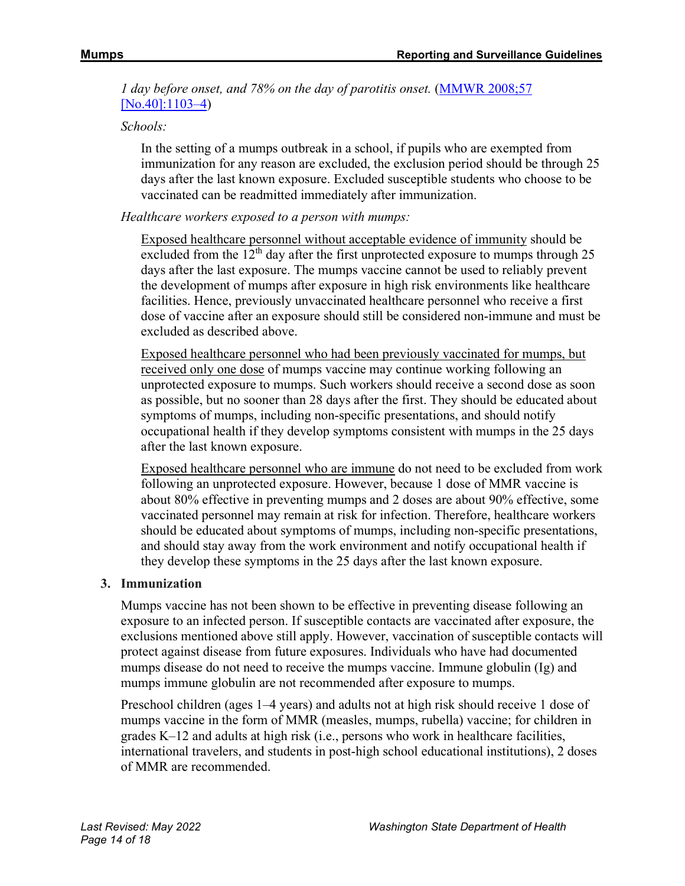*1 day before onset, and 78% on the day of parotitis onset.* (MMWR 2008;57 [No.40]:1103-4)

*Schools:*

In the setting of a mumps outbreak in a school, if pupils who are exempted from immunization for any reason are excluded, the exclusion period should be through 25 days after the last known exposure. Excluded susceptible students who choose to be vaccinated can be readmitted immediately after immunization.

*Healthcare workers exposed to a person with mumps:*

Exposed healthcare personnel without acceptable evidence of immunity should be excluded from the  $12<sup>th</sup>$  day after the first unprotected exposure to mumps through 25 days after the last exposure. The mumps vaccine cannot be used to reliably prevent the development of mumps after exposure in high risk environments like healthcare facilities. Hence, previously unvaccinated healthcare personnel who receive a first dose of vaccine after an exposure should still be considered non-immune and must be excluded as described above.

Exposed healthcare personnel who had been previously vaccinated for mumps, but received only one dose of mumps vaccine may continue working following an unprotected exposure to mumps. Such workers should receive a second dose as soon as possible, but no sooner than 28 days after the first. They should be educated about symptoms of mumps, including non-specific presentations, and should notify occupational health if they develop symptoms consistent with mumps in the 25 days after the last known exposure.

Exposed healthcare personnel who are immune do not need to be excluded from work following an unprotected exposure. However, because 1 dose of MMR vaccine is about 80% effective in preventing mumps and 2 doses are about 90% effective, some vaccinated personnel may remain at risk for infection. Therefore, healthcare workers should be educated about symptoms of mumps, including non-specific presentations, and should stay away from the work environment and notify occupational health if they develop these symptoms in the 25 days after the last known exposure.

## **3. Immunization**

Mumps vaccine has not been shown to be effective in preventing disease following an exposure to an infected person. If susceptible contacts are vaccinated after exposure, the exclusions mentioned above still apply. However, vaccination of susceptible contacts will protect against disease from future exposures. Individuals who have had documented mumps disease do not need to receive the mumps vaccine. Immune globulin (Ig) and mumps immune globulin are not recommended after exposure to mumps.

Preschool children (ages 1–4 years) and adults not at high risk should receive 1 dose of mumps vaccine in the form of MMR (measles, mumps, rubella) vaccine; for children in grades K–12 and adults at high risk (i.e., persons who work in healthcare facilities, international travelers, and students in post-high school educational institutions), 2 doses of MMR are recommended.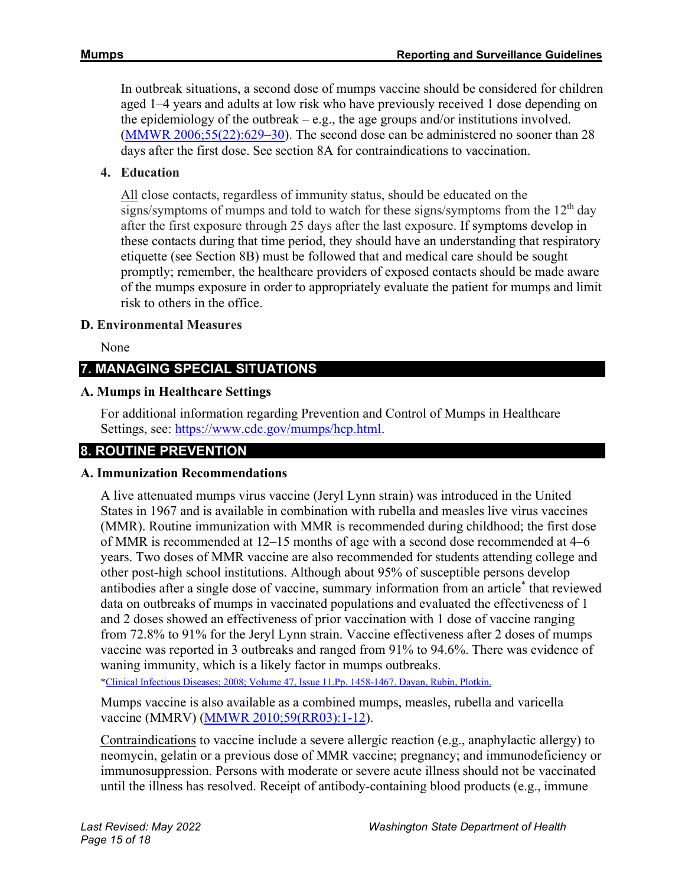In outbreak situations, a second dose of mumps vaccine should be considered for children aged 1–4 years and adults at low risk who have previously received 1 dose depending on the epidemiology of the outbreak  $-e.g.,$  the age groups and/or institutions involved. [\(MMWR 2006;55\(22\):629–30\)](https://www.cdc.gov/mmwr/pdf/wk/mm5522.pdf). The second dose can be administered no sooner than 28 days after the first dose. See section 8A for contraindications to vaccination.

# **4. Education**

All close contacts, regardless of immunity status, should be educated on the signs/symptoms of mumps and told to watch for these signs/symptoms from the  $12<sup>th</sup>$  day after the first exposure through 25 days after the last exposure. If symptoms develop in these contacts during that time period, they should have an understanding that respiratory etiquette (see Section 8B) must be followed that and medical care should be sought promptly; remember, the healthcare providers of exposed contacts should be made aware of the mumps exposure in order to appropriately evaluate the patient for mumps and limit risk to others in the office.

## **D. Environmental Measures**

None

# **7. MANAGING SPECIAL SITUATIONS**

# **A. Mumps in Healthcare Settings**

For additional information regarding Prevention and Control of Mumps in Healthcare Settings, see: [https://www.cdc.gov/mumps/hcp.html.](https://www.cdc.gov/mumps/hcp.html)

# **8. ROUTINE PREVENTION**

## **A. Immunization Recommendations**

A live attenuated mumps virus vaccine (Jeryl Lynn strain) was introduced in the United States in 1967 and is available in combination with rubella and measles live virus vaccines (MMR). Routine immunization with MMR is recommended during childhood; the first dose of MMR is recommended at 12–15 months of age with a second dose recommended at 4–6 years. Two doses of MMR vaccine are also recommended for students attending college and other post-high school institutions. Although about 95% of susceptible persons develop antibodies after a single dose of vaccine, summary information from an article\* that reviewed data on outbreaks of mumps in vaccinated populations and evaluated the effectiveness of 1 and 2 doses showed an effectiveness of prior vaccination with 1 dose of vaccine ranging from 72.8% to 91% for the Jeryl Lynn strain. Vaccine effectiveness after 2 doses of mumps vaccine was reported in 3 outbreaks and ranged from 91% to 94.6%. There was evidence of waning immunity, which is a likely factor in mumps outbreaks.

[\\*Clinical Infectious Diseases; 2008; Volume 47, Issue 11.Pp. 1458-1467. Dayan, Rubin, Plotkin.](https://academic.oup.com/cid/article/47/11/1458/282575/Mumps-Outbreaks-in-Vaccinated-Populations-Are)

Mumps vaccine is also available as a combined mumps, measles, rubella and varicella vaccine (MMRV) [\(MMWR 2010;59\(RR03\):1-12\)](https://www.cdc.gov/mmwr/preview/mmwrhtml/rr5903a1.htm?s_cid=rr5903a1_e).

Contraindications to vaccine include a severe allergic reaction (e.g., anaphylactic allergy) to neomycin, gelatin or a previous dose of MMR vaccine; pregnancy; and immunodeficiency or immunosuppression. Persons with moderate or severe acute illness should not be vaccinated until the illness has resolved. Receipt of antibody-containing blood products (e.g., immune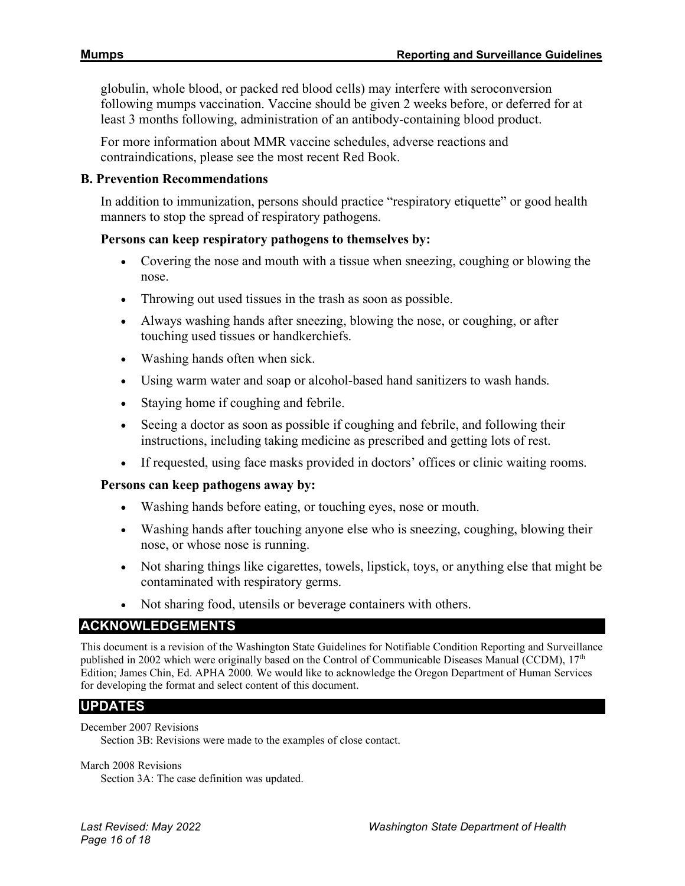globulin, whole blood, or packed red blood cells) may interfere with seroconversion following mumps vaccination. Vaccine should be given 2 weeks before, or deferred for at least 3 months following, administration of an antibody-containing blood product.

For more information about MMR vaccine schedules, adverse reactions and contraindications, please see the most recent Red Book.

#### **B. Prevention Recommendations**

In addition to immunization, persons should practice "respiratory etiquette" or good health manners to stop the spread of respiratory pathogens.

#### **Persons can keep respiratory pathogens to themselves by:**

- Covering the nose and mouth with a tissue when sneezing, coughing or blowing the nose.
- Throwing out used tissues in the trash as soon as possible.
- Always washing hands after sneezing, blowing the nose, or coughing, or after touching used tissues or handkerchiefs.
- Washing hands often when sick.
- Using warm water and soap or alcohol-based hand sanitizers to wash hands.
- Staying home if coughing and febrile.
- Seeing a doctor as soon as possible if coughing and febrile, and following their instructions, including taking medicine as prescribed and getting lots of rest.
- If requested, using face masks provided in doctors' offices or clinic waiting rooms.

#### **Persons can keep pathogens away by:**

- Washing hands before eating, or touching eyes, nose or mouth.
- Washing hands after touching anyone else who is sneezing, coughing, blowing their nose, or whose nose is running.
- Not sharing things like cigarettes, towels, lipstick, toys, or anything else that might be contaminated with respiratory germs.
- Not sharing food, utensils or beverage containers with others.

## **ACKNOWLEDGEMENTS**

This document is a revision of the Washington State Guidelines for Notifiable Condition Reporting and Surveillance published in 2002 which were originally based on the Control of Communicable Diseases Manual (CCDM), 17th Edition; James Chin, Ed. APHA 2000. We would like to acknowledge the Oregon Department of Human Services for developing the format and select content of this document.

## **UPDATES**

#### December 2007 Revisions

Section 3B: Revisions were made to the examples of close contact.

#### March 2008 Revisions

Section 3A: The case definition was updated.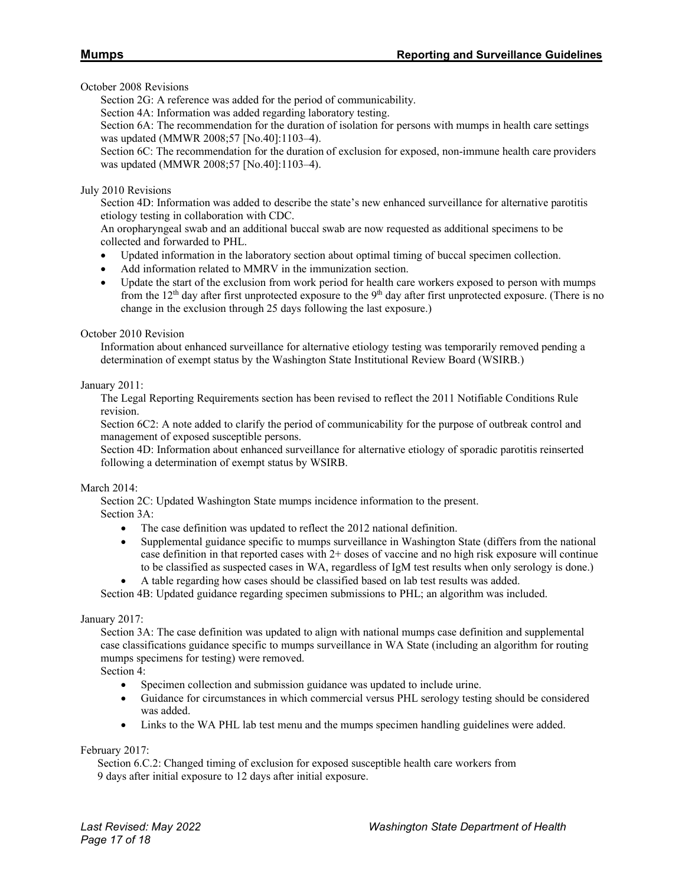October 2008 Revisions

Section 2G: A reference was added for the period of communicability.

Section 4A: Information was added regarding laboratory testing.

Section 6A: The recommendation for the duration of isolation for persons with mumps in health care settings was updated (MMWR 2008;57 [No.40]:1103–4).

Section 6C: The recommendation for the duration of exclusion for exposed, non-immune health care providers was updated (MMWR 2008;57 [No.40]:1103–4).

#### July 2010 Revisions

Section 4D: Information was added to describe the state's new enhanced surveillance for alternative parotitis etiology testing in collaboration with CDC.

An oropharyngeal swab and an additional buccal swab are now requested as additional specimens to be collected and forwarded to PHL.

- Updated information in the laboratory section about optimal timing of buccal specimen collection.
- Add information related to MMRV in the immunization section.
- Update the start of the exclusion from work period for health care workers exposed to person with mumps from the  $12<sup>th</sup>$  day after first unprotected exposure to the  $9<sup>th</sup>$  day after first unprotected exposure. (There is no change in the exclusion through 25 days following the last exposure.)

October 2010 Revision

Information about enhanced surveillance for alternative etiology testing was temporarily removed pending a determination of exempt status by the Washington State Institutional Review Board (WSIRB.)

January 2011:

The Legal Reporting Requirements section has been revised to reflect the 2011 Notifiable Conditions Rule revision.

Section 6C2: A note added to clarify the period of communicability for the purpose of outbreak control and management of exposed susceptible persons.

Section 4D: Information about enhanced surveillance for alternative etiology of sporadic parotitis reinserted following a determination of exempt status by WSIRB.

#### March 2014:

Section 2C: Updated Washington State mumps incidence information to the present. Section 3A:

- The case definition was updated to reflect the 2012 national definition.
- Supplemental guidance specific to mumps surveillance in Washington State (differs from the national case definition in that reported cases with 2+ doses of vaccine and no high risk exposure will continue to be classified as suspected cases in WA, regardless of IgM test results when only serology is done.)
- A table regarding how cases should be classified based on lab test results was added.

Section 4B: Updated guidance regarding specimen submissions to PHL; an algorithm was included.

#### January 2017:

Section 3A: The case definition was updated to align with national mumps case definition and supplemental case classifications guidance specific to mumps surveillance in WA State (including an algorithm for routing mumps specimens for testing) were removed.

Section 4:

- Specimen collection and submission guidance was updated to include urine.
- Guidance for circumstances in which commercial versus PHL serology testing should be considered was added.
- Links to the WA PHL lab test menu and the mumps specimen handling guidelines were added.

February 2017:

 Section 6.C.2: Changed timing of exclusion for exposed susceptible health care workers from 9 days after initial exposure to 12 days after initial exposure.